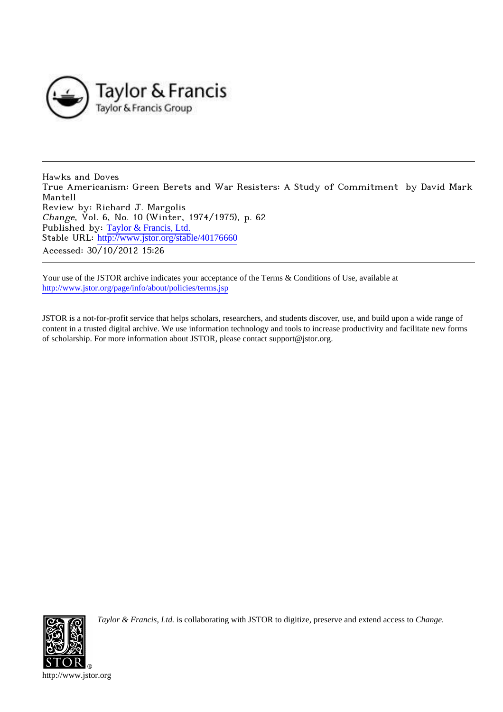

Hawks and Doves True Americanism: Green Berets and War Resisters: A Study of Commitment by David Mark Mantell Review by: Richard J. Margolis Change, Vol. 6, No. 10 (Winter, 1974/1975), p. 62 Published by: [Taylor & Francis, Ltd.](http://www.jstor.org/action/showPublisher?publisherCode=taylorfrancis) Stable URL: http://www.jstor.org/stable/40176660 Accessed: 30/10/2012 15:26

Your use of the JSTOR archive indicates your acceptance of the Terms & Conditions of Use, available at <http://www.jstor.org/page/info/about/policies/terms.jsp>

JSTOR is a not-for-profit service that helps scholars, researchers, and students discover, use, and build upon a wide range of content in a trusted digital archive. We use information technology and tools to increase productivity and facilitate new forms of scholarship. For more information about JSTOR, please contact support@jstor.org.



*Taylor & Francis, Ltd.* is collaborating with JSTOR to digitize, preserve and extend access to *Change.*